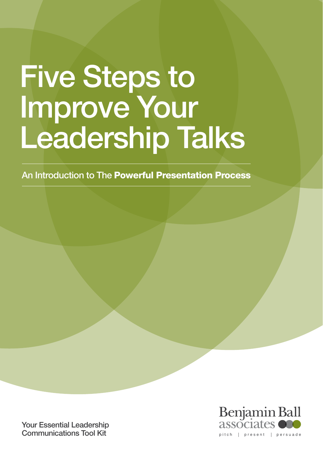# Five Steps to Improve Your Leadership Talks

An Introduction to The Powerful Presentation Process

Your Essential Leadership Communications Tool Kit

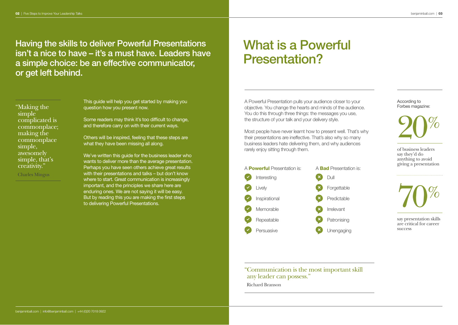Having the skills to deliver Powerful Presentations isn't a nice to have – it's a must have. Leaders have a simple choice: be an effective communicator, or get left behind.

" Making the simple complicated is commonplace; making the commonplace simple, awesomely simple, that's creativity." Charles Mingus

This guide will help you get started by making you question how you present now.

Some readers may think it's too difficult to change, and therefore carry on with their current ways.

Others will be inspired, feeling that these steps are what they have been missing all along.

We've written this guide for the business leader who wants to deliver more than the average presentation. Perhaps you have seen others achieve great results with their presentations and talks – but don't know where to start. Great communication is increasingly important, and the principles we share here are enduring ones. We are not saying it will be easy. But by reading this you are making the first steps to delivering Powerful Presentations.

# What is a Powerful Presentation?

A Powerful Presentation pulls your audience closer to your objective. You change the hearts and minds of the audience. You do this through three things: the messages you use, the structure of your talk and your delivery style.

Most people have never learnt how to present well. That's why their presentations are ineffective. That's also why so many business leaders hate delivering them, and why audiences rarely enjoy sitting through them.



According to Forbes magazine:



of business leaders say they'd do anything to avoid giving a presentation



say presentation skills are critical for career success<sub>1</sub>

" Communication is the most important skill any leader can possess." Richard Branson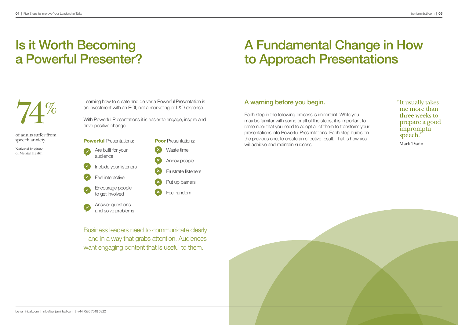# Is it Worth Becoming a Powerful Presenter?

# A Fundamental Change in How to Approach Presentations



of adults suffer from speech anxiety.

National Institute of Mental Health

Learning how to create and deliver a Powerful Presentation is an investment with an ROI, not a marketing or L&D expense.

With Powerful Presentations it is easier to engage, inspire and drive positive change.



A warning before you begin.

Each step in the following process is important. While you may be familiar with some or all of the steps, it is important to remember that you need to adopt all of them to transform your presentations into Powerful Presentations. Each step builds on the previous one, to create an effective result. That is how you will achieve and maintain success.

" It usually takes me more than three weeks to prepare a good impromptu speech." Mark Twain

Business leaders need to communicate clearly – and in a way that grabs attention. Audiences want engaging content that is useful to them.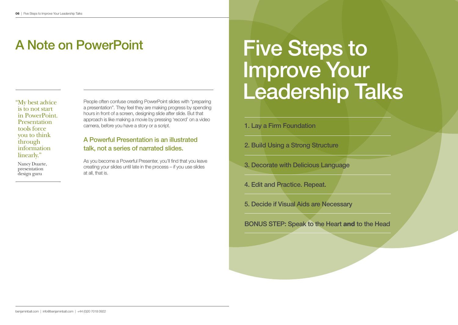is to not start in PowerPoint. **Presentation** tools force you to think through information linearly."

 Nancy Duarte, presentation design guru

People often confuse creating PowerPoint slides with "preparing a presentation". They feel they are making progress by spending hours in front of a screen, designing slide after slide. But that approach is like making a movie by pressing 'record' on a video camera, before you have a story or a script.

### A Powerful Presentation is an illustrated talk, not a series of narrated slides.

As you become a Powerful Presenter, you'll find that you leave creating your slides until late in the process – if you use slides at all, that is.

# A Note on PowerPoint Five Steps to Improve Your "My best advice People often confuse creating PowerPoint slides with "preparing **Leader Ship Talks**

1. Lay a Firm Foundation

- 2. Build Using a Strong Structure
- 3. Decorate with Delicious Language
- 4. Edit and Practice. Repeat.
- 5. Decide if Visual Aids are Necessary

BoNUS STEP: Speak to the Heart and to the Head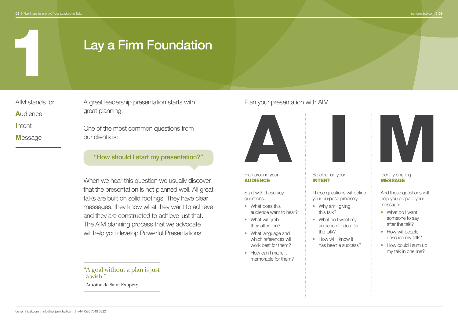## Lay a Firm Foundation

AIM stands for **A**udience **Intent Message** 

1

A great leadership presentation starts with **Plan your presentation with AIM** great planning.

One of the most common questions from our clients is:

### "How should I start my presentation?"

When we hear this question we usually discover that the presentation is not planned well. All great talks are built on solid footings. They have clear messages, they know what they want to achieve and they are constructed to achieve just that. The AIM planning process that we advocate will help you develop Powerful Presentations.

" A goal without a plan is just a wish."

Antoine de Saint-Exupéry



### Plan around your AUDIENCE

Start with these key questions:

- What does this audience want to hear?
- What will grab their attention?
- What language and which references will work best for them?
- How can I make it memorable for them?

### Be clear on your INTENT

These questions will define your purpose precisely:

- Why am I giving this talk?
- What do I want my audience to do after the talk?
- How will I know it has been a success?



### Identify one big **MESSAGE**

And these questions will help you prepare your message:

- What do I want someone to say after the talk?
- How will people describe my talk?
- How could I sum up my talk in one line?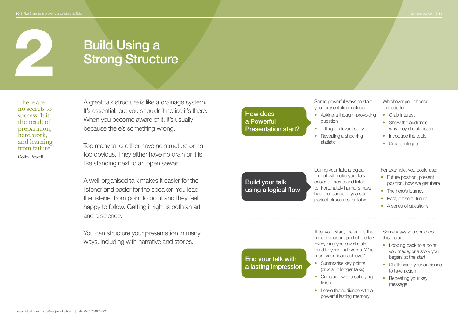# **2 Build Using a**<br>**2 Strong Structure**

" There are no secrets to success. It is the result of preparation, hard work, and learning from failure." Colin Powell

A great talk structure is like a drainage system. It's essential, but you shouldn't notice it's there. When you become aware of it, it's usually because there's something wrong.

Too many talks either have no structure or it's too obvious. They either have no drain or it is like standing next to an open sewer.

A well-organised talk makes it easier for the listener and easier for the speaker. You lead the listener from point to point and they feel happy to follow. Getting it right is both an art and a science.

You can structure your presentation in many ways, including with narrative and stories.

### How does a Powerful Presentation start?

Build your talk using a logical flow

End your talk with a lasting impression Some powerful ways to start your presentation include:

- Asking a thought-provoking question
- Telling a relevant story
- Revealing a shocking statistic

During your talk, a logical format will make your talk easier to create and listen to. Fortunately humans have had thousands of years to perfect structures for talks.

Whichever you choose. it needs to:

- Grab interest
- Show the audience why they should listen
- Introduce the topic
- Create intrigue

For example, you could use:

- Future position, present position, how we get there
- The hero's journey
- Past, present, future
- A series of questions

After your start, the end is the most important part of the talk. Everything you say should build to your final words. What must your finale achieve?

- Summarise key points (crucial in longer talks)
- Conclude with a satisfying finish
- Leave the audience with a powerful lasting memory

Some ways you could do this include:

- Looping back to a point you made, or a story you began, at the start
- Challenging your audience to take action
- Repeating your key message

benjaminball.com | info@benjaminball.com | +44 (0)20 7018 0922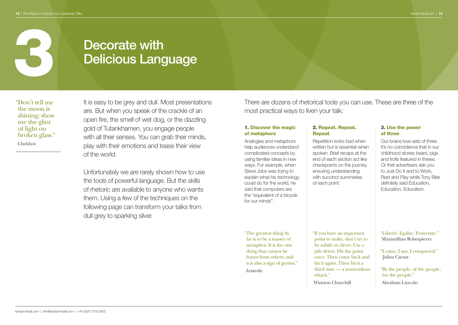# Decorate with<br>Delicious Language

" Don't tell me the moon is shining; show me the glint of light on broken glass." Chekhov

It is easy to be grey and dull. Most presentations are. But when you speak of the crackle of an open fire, the smell of wet dog, or the dazzling gold of Tutankhamen, you engage people with all their senses. You can grab their minds, play with their emotions and tease their view of the world.

Unfortunately we are rarely shown how to use the tools of powerful language. But the skills of rhetoric are available to anyone who wants them. Using a few of the techniques on the following page can transform your talks from dull grey to sparking silver.

There are dozens of rhetorical tools you can use. These are three of the most practical ways to liven your talk:

### 1. Discover the magic of metaphors

Analogies and metaphors help audiences understand complicated concepts by using familiar ideas in new ways. For example, when Steve Jobs was trying to explain what his technology could do for the world, he said that computers are the "equivalent of a bicycle for our minds".

" The greatest thing by far is to be a master of metaphor. It is the one thing that cannot be learnt from others; and it is also a sign of genius." Aristotle

### 2. Repeat. Repeat. Repeat

Repetition looks bad when written but is essential when spoken. Brief recaps at the end of each section act like checkpoints on the journey, ensuring understanding with succinct summaries of each point.

" If you have an important point to make, don't try to be subtle or clever. Use a pile driver. Hit the point once. Then come back and hit it again. Then hit it a third time — a tremendous whack"

Winston Churchill

### 3. Use the power of three

Our brains love sets of three. It's no coincidence that in our childhood stories bears, pigs and trolls featured in threes. Or that advertisers ask you to Just Do It and to Work, Rest and Play while Tony Blair definitely said Education, Education, Education.

"Liberté. Egalite. Fraternite." Maximillian Robespierre

"I came, I saw, I conquered." Julius Caesar

" By the people, of the people, for the people." Abraham Lincoln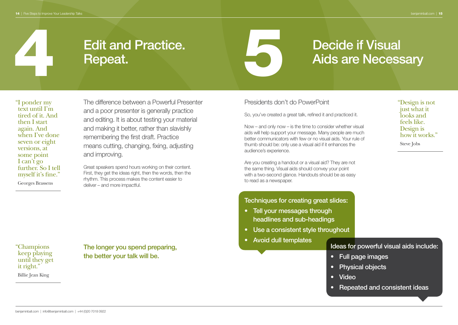" Design is not just what it looks and feels like. Design is how it works."

Steve Jobs

# Edit and Practice. Repeat.

# Edit and Practice. Decide if Visual<br>Repeat. Aids are Necessary

"I ponder my text until I'm tired of it. And then I start again. And when I've done seven or eight versions, at some point I can't go further. So I tell myself it's fine." Georges Brassens

The difference between a Powerful Presenter and a poor presenter is generally practice and editing. It is about testing your material and making it better, rather than slavishly remembering the first draft. Practice means cutting, changing, fixing, adjusting and improving.

Great speakers spend hours working on their content. First, they get the ideas right, then the words, then the rhythm. This process makes the content easier to deliver – and more impactful.

Presidents don't do PowerPoint

So, you've created a great talk, refined it and practiced it.

Now – and only now – is the time to consider whether visual aids will help support your message. Many people are much better communicators with few or no visual aids. Your rule of thumb should be: only use a visual aid if it enhances the audience's experience.

Are you creating a handout or a visual aid? They are not the same thing. Visual aids should convey your point with a two-second glance. Handouts should be as easy to read as a newspaper.

### Techniques for creating great slides:

- Tell your messages through headlines and sub-headings
- Use a consistent style throughout
- Avoid dull templates

Ideas for powerful visual aids include:

- Full page images
- **Physical objects**
- • Video
- Repeated and consistent ideas

" Champions keep playing until they get it right." Billie Jean King

The longer you spend preparing, the better your talk will be.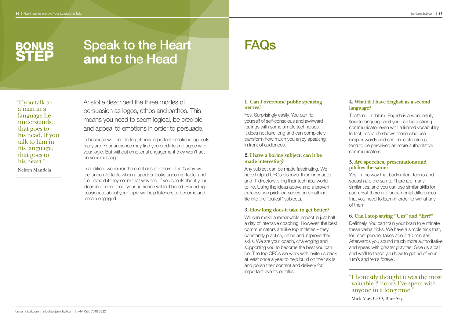## **BONUS** STEP

## Speak to the Heart and to the Head

" If you talk to a man in a language he understands, that goes to his head. If you talk to him in his language, that goes to his heart." Nelson Mandela

Aristotle described the three modes of persuasion as logos, ethos and pathos. This means you need to seem logical, be credible and appeal to emotions in order to persuade.

In business we tend to forget how important emotional appeals really are. Your audience may find you credible and agree with your logic. But without emotional engagement they won't act on your message.

In addition, we mirror the emotions of others. That's why we feel uncomfortable when a speaker looks uncomfortable, and feel relaxed if they seem that way too. If you speak about your ideas in a monotone, your audience will feel bored. Sounding passionate about your topic will help listeners to become and remain engaged.

### **1. Can I overcome public speaking nerves?**

FAQs

Yes. Surprisingly easily. You can rid yourself of self-conscious and awkward feelings with some simple techniques. It does not take long and can completely transform how much you enjoy speaking in front of audiences.

### **2. I have a boring subject, can it be made interesting?**

Any subject can be made fascinating. We have helped CFOs discover their inner actor and IT directors bring their technical world to life. Using the ideas above and a proven process, we pride ourselves on breathing life into the "dullest" subjects.

### **3. How long does it take to get better?**

We can make a remarkable impact in just half a day of intensive coaching. However, the best communicators are like top athletes – they constantly practice, refine and improve their skills. We are your coach, challenging and supporting you to become the best you can be. The top CEOs we work with invite us back at least once a year to help build on their skills and polish their content and delivery for important events or talks.

### **4. What if I have English as a second language?**

That's no problem. English is a wonderfully flexible language and you can be a strong communicator even with a limited vocabulary. In fact, research shows those who use simpler words and sentence structures tend to be perceived as more authoritative communicators.

### **5. Are speeches, presentations and pitches the same?**

Yes, in the way that badminton, tennis and squash are the same. There are many similarities, and you can use similar skills for each. But there are fundamental differences that you need to learn in order to win at any of them.

### **6. Can I stop saying "Um" and "Err?"**

Definitely. You can train your brain to eliminate these verbal ticks. We have a simple trick that, for most people, takes about 10 minutes. Afterwards you sound much more authoritative and speak with greater gravitas. Give us a call and we'll to teach you how to get rid of your 'um's and 'err's forever.

"I honestly thought it was the most valuable 3 hours I've spent with anyone in a long time." Mick May, CEO, Blue Sky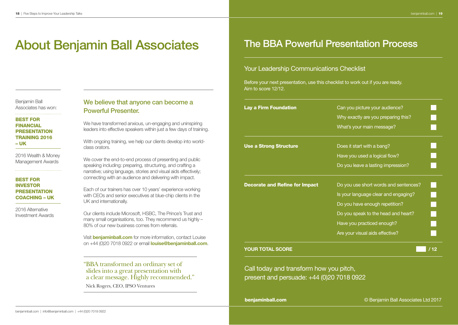## **About Benjamin Ball Associates**

Benjamin Ball Associates has won:

### BEST fOR **FINANCIAL** PRESENTATION TRAINING 2016

– UK

2016 Wealth & Money Management Awards

### BEST fOR INvESTOR PRESENTATION COACHING – UK

2016 Alternative Investment Awards

### We believe that anyone can become a Powerful Presenter.

We have transformed anxious, un-engaging and uninspiring leaders into effective speakers within just a few days of training.

With ongoing training, we help our clients develop into worldclass orators.

We cover the end-to-end process of presenting and public speaking including: preparing, structuring, and crafting a narrative; using language, stories and visual aids effectively; connecting with an audience and delivering with impact.

Each of our trainers has over 10 years' experience working with CEOs and senior executives at blue-chip clients in the UK and internationally.

Our clients include Microsoft, HSBC, The Prince's Trust and many small organisations, too. They recommend us highly – 80% of our new business comes from referrals.

Visit **benjaminball.com** for more information, contact Louise on +44 (0)20 7018 0922 or email **louise@beniaminball.com.** 

" BBA transformed an ordinary set of slides into a great presentation with a clear message. Highly recommended."

Nick Rogers, CEO, IPSO Ventures

### The BBA Powerful Presentation Process

### Your Leadership Communications Checklist

Before your next presentation, use this checklist to work out if you are ready. Aim to score 12/12.

| <b>Lay a Firm Foundation</b>          | Can you picture your audience?        |      |
|---------------------------------------|---------------------------------------|------|
|                                       | Why exactly are you preparing this?   |      |
|                                       | What's your main message?             |      |
| <b>Use a Strong Structure</b>         | Does it start with a bang?            |      |
|                                       | Have you used a logical flow?         |      |
|                                       | Do you leave a lasting impression?    |      |
| <b>Decorate and Refine for Impact</b> | Do you use short words and sentences? |      |
|                                       | Is your language clear and engaging?  |      |
|                                       | Do you have enough repetition?        |      |
|                                       | Do you speak to the head and heart?   |      |
|                                       | Have you practiced enough?            |      |
|                                       | Are your visual aids effective?       |      |
| YOUR TOTAL SCORE                      |                                       | / 12 |

Call today and transform how you pitch, present and persuade: +44 (0)20 7018 0922